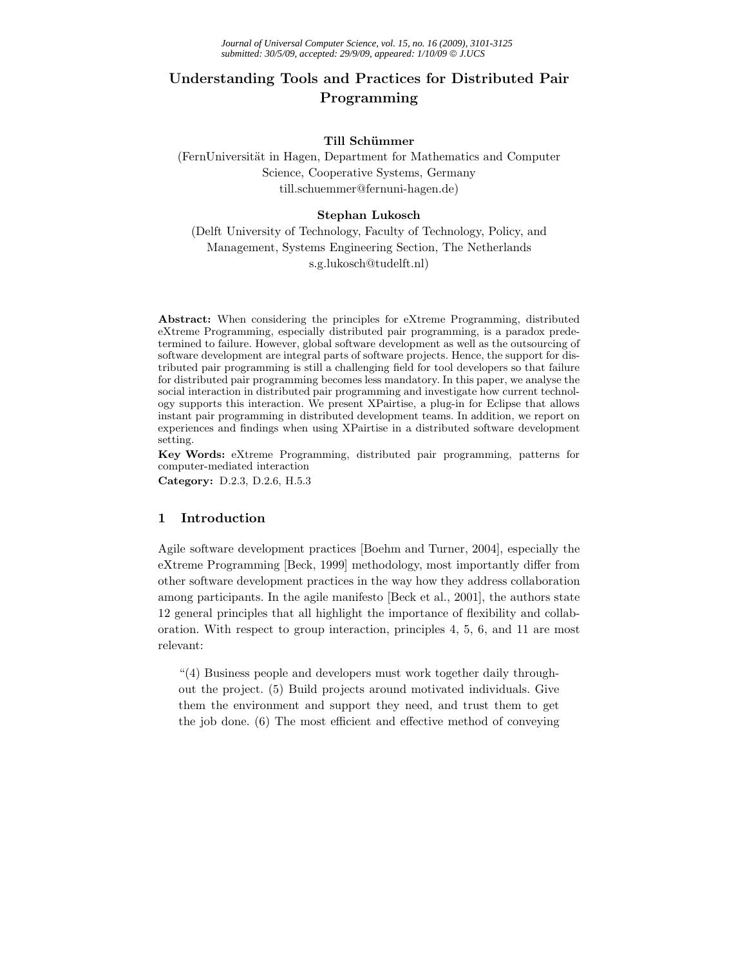# **Understanding Tools and Practices for Distributed Pair Programming**

# **Till Schümmer**

(FernUniversität in Hagen, Department for Mathematics and Computer Science, Cooperative Systems, Germany till.schuemmer@fernuni-hagen.de)

# **Stephan Lukosch**

(Delft University of Technology, Faculty of Technology, Policy, and Management, Systems Engineering Section, The Netherlands s.g.lukosch@tudelft.nl)

**Abstract:** When considering the principles for eXtreme Programming, distributed eXtreme Programming, especially distributed pair programming, is a paradox predetermined to failure. However, global software development as well as the outsourcing of software development are integral parts of software projects. Hence, the support for distributed pair programming is still a challenging field for tool developers so that failure for distributed pair programming becomes less mandatory. In this paper, we analyse the social interaction in distributed pair programming and investigate how current technology supports this interaction. We present XPairtise, a plug-in for Eclipse that allows instant pair programming in distributed development teams. In addition, we report on experiences and findings when using XPairtise in a distributed software development setting.

**Key Words:** eXtreme Programming, distributed pair programming, patterns for computer-mediated interaction

**Category:** D.2.3, D.2.6, H.5.3

### **1 Introduction**

Agile software development practices [Boehm and Turner, 2004], especially the eXtreme Programming [Beck, 1999] methodology, most importantly differ from other software development practices in the way how they address collaboration among participants. In the agile manifesto [Beck et al., 2001], the authors state 12 general principles that all highlight the importance of flexibility and collaboration. With respect to group interaction, principles 4, 5, 6, and 11 are most relevant:

"(4) Business people and developers must work together daily throughout the project. (5) Build projects around motivated individuals. Give them the environment and support they need, and trust them to get the job done. (6) The most efficient and effective method of conveying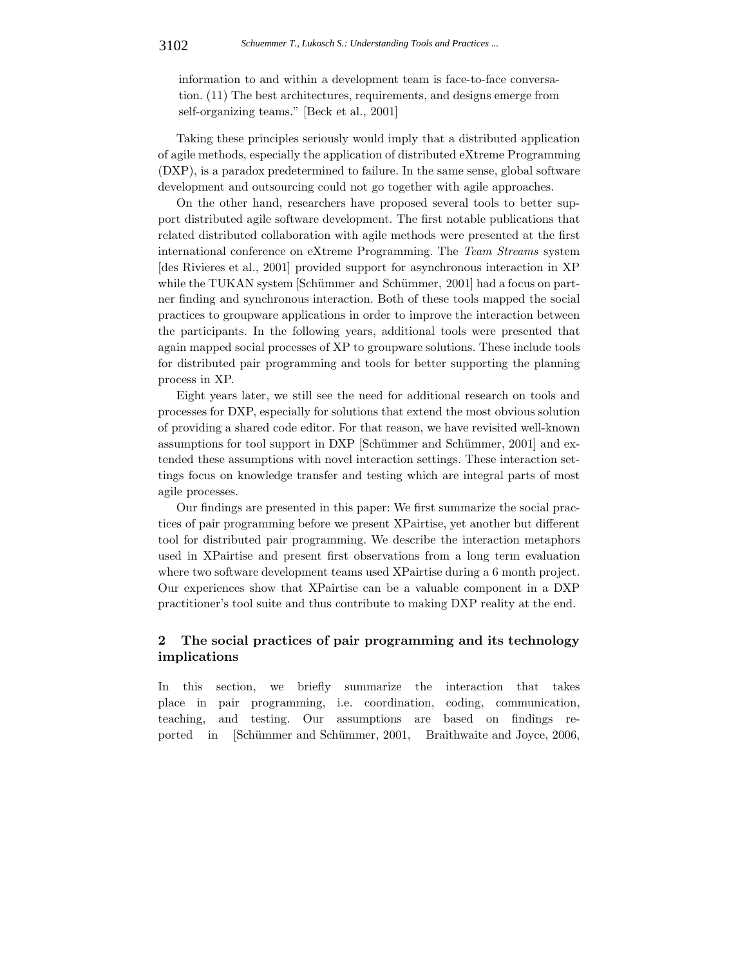information to and within a development team is face-to-face conversation. (11) The best architectures, requirements, and designs emerge from self-organizing teams." [Beck et al., 2001]

Taking these principles seriously would imply that a distributed application of agile methods, especially the application of distributed eXtreme Programming (DXP), is a paradox predetermined to failure. In the same sense, global software development and outsourcing could not go together with agile approaches.

On the other hand, researchers have proposed several tools to better support distributed agile software development. The first notable publications that related distributed collaboration with agile methods were presented at the first international conference on eXtreme Programming. The *Team Streams* system [des Rivieres et al., 2001] provided support for asynchronous interaction in XP while the TUKAN system [Schümmer and Schümmer, 2001] had a focus on partner finding and synchronous interaction. Both of these tools mapped the social practices to groupware applications in order to improve the interaction between the participants. In the following years, additional tools were presented that again mapped social processes of XP to groupware solutions. These include tools for distributed pair programming and tools for better supporting the planning process in XP.

Eight years later, we still see the need for additional research on tools and processes for DXP, especially for solutions that extend the most obvious solution of providing a shared code editor. For that reason, we have revisited well-known assumptions for tool support in DXP [Schümmer and Schümmer, 2001] and extended these assumptions with novel interaction settings. These interaction settings focus on knowledge transfer and testing which are integral parts of most agile processes.

Our findings are presented in this paper: We first summarize the social practices of pair programming before we present XPairtise, yet another but different tool for distributed pair programming. We describe the interaction metaphors used in XPairtise and present first observations from a long term evaluation where two software development teams used XPairtise during a 6 month project. Our experiences show that XPairtise can be a valuable component in a DXP practitioner's tool suite and thus contribute to making DXP reality at the end.

# **2 The social practices of pair programming and its technology implications**

In this section, we briefly summarize the interaction that takes place in pair programming, i.e. coordination, coding, communication, teaching, and testing. Our assumptions are based on findings reported in [Schümmer and Schümmer, 2001, Braithwaite and Joyce, 2006,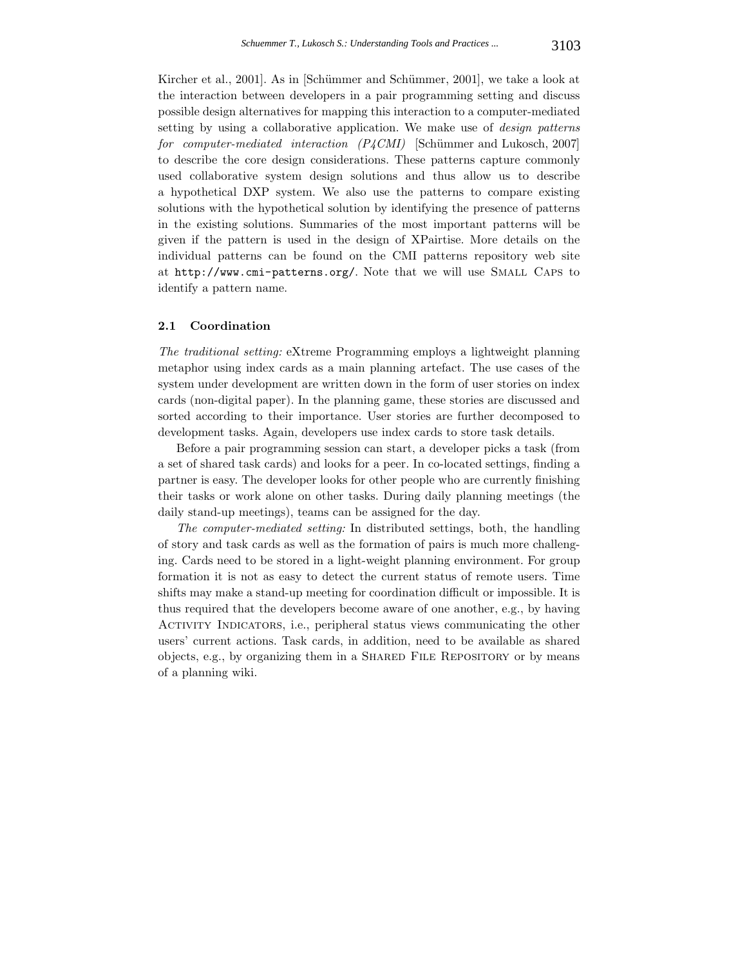Kircher et al., 2001]. As in [Schümmer and Schümmer, 2001], we take a look at the interaction between developers in a pair programming setting and discuss possible design alternatives for mapping this interaction to a computer-mediated setting by using a collaborative application. We make use of *design patterns for computer-mediated interaction (P4CMI)* [Schümmer and Lukosch, 2007] to describe the core design considerations. These patterns capture commonly used collaborative system design solutions and thus allow us to describe a hypothetical DXP system. We also use the patterns to compare existing solutions with the hypothetical solution by identifying the presence of patterns in the existing solutions. Summaries of the most important patterns will be given if the pattern is used in the design of XPairtise. More details on the individual patterns can be found on the CMI patterns repository web site at http://www.cmi-patterns.org/. Note that we will use Small Caps to identify a pattern name.

## **2.1 Coordination**

*The traditional setting:* eXtreme Programming employs a lightweight planning metaphor using index cards as a main planning artefact. The use cases of the system under development are written down in the form of user stories on index cards (non-digital paper). In the planning game, these stories are discussed and sorted according to their importance. User stories are further decomposed to development tasks. Again, developers use index cards to store task details.

Before a pair programming session can start, a developer picks a task (from a set of shared task cards) and looks for a peer. In co-located settings, finding a partner is easy. The developer looks for other people who are currently finishing their tasks or work alone on other tasks. During daily planning meetings (the daily stand-up meetings), teams can be assigned for the day.

*The computer-mediated setting:* In distributed settings, both, the handling of story and task cards as well as the formation of pairs is much more challenging. Cards need to be stored in a light-weight planning environment. For group formation it is not as easy to detect the current status of remote users. Time shifts may make a stand-up meeting for coordination difficult or impossible. It is thus required that the developers become aware of one another, e.g., by having Activity Indicators, i.e., peripheral status views communicating the other users' current actions. Task cards, in addition, need to be available as shared objects, e.g., by organizing them in a Shared File Repository or by means of a planning wiki.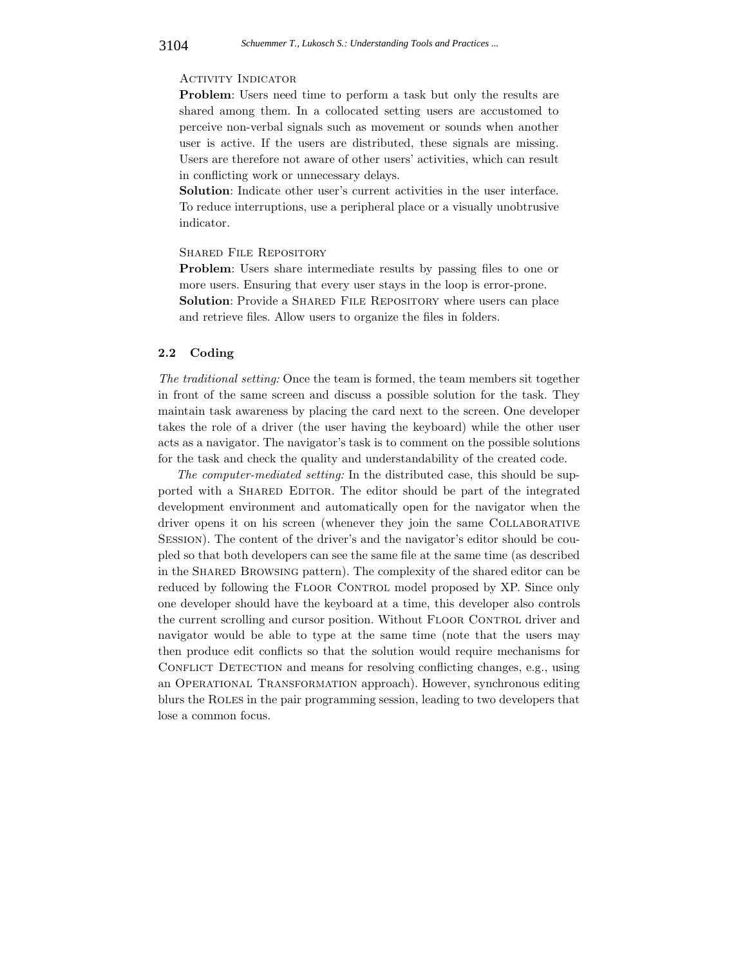### ACTIVITY INDICATOR

**Problem**: Users need time to perform a task but only the results are shared among them. In a collocated setting users are accustomed to perceive non-verbal signals such as movement or sounds when another user is active. If the users are distributed, these signals are missing. Users are therefore not aware of other users' activities, which can result in conflicting work or unnecessary delays.

**Solution**: Indicate other user's current activities in the user interface. To reduce interruptions, use a peripheral place or a visually unobtrusive indicator.

# Shared File Repository

**Problem**: Users share intermediate results by passing files to one or more users. Ensuring that every user stays in the loop is error-prone. **Solution**: Provide a SHARED FILE REPOSITORY where users can place and retrieve files. Allow users to organize the files in folders.

### **2.2 Coding**

*The traditional setting:* Once the team is formed, the team members sit together in front of the same screen and discuss a possible solution for the task. They maintain task awareness by placing the card next to the screen. One developer takes the role of a driver (the user having the keyboard) while the other user acts as a navigator. The navigator's task is to comment on the possible solutions for the task and check the quality and understandability of the created code.

*The computer-mediated setting:* In the distributed case, this should be supported with a Shared Editor. The editor should be part of the integrated development environment and automatically open for the navigator when the driver opens it on his screen (whenever they join the same COLLABORATIVE Session). The content of the driver's and the navigator's editor should be coupled so that both developers can see the same file at the same time (as described in the Shared Browsing pattern). The complexity of the shared editor can be reduced by following the FLOOR CONTROL model proposed by XP. Since only one developer should have the keyboard at a time, this developer also controls the current scrolling and cursor position. Without Floor Control driver and navigator would be able to type at the same time (note that the users may then produce edit conflicts so that the solution would require mechanisms for CONFLICT DETECTION and means for resolving conflicting changes, e.g., using an Operational Transformation approach). However, synchronous editing blurs the Roles in the pair programming session, leading to two developers that lose a common focus.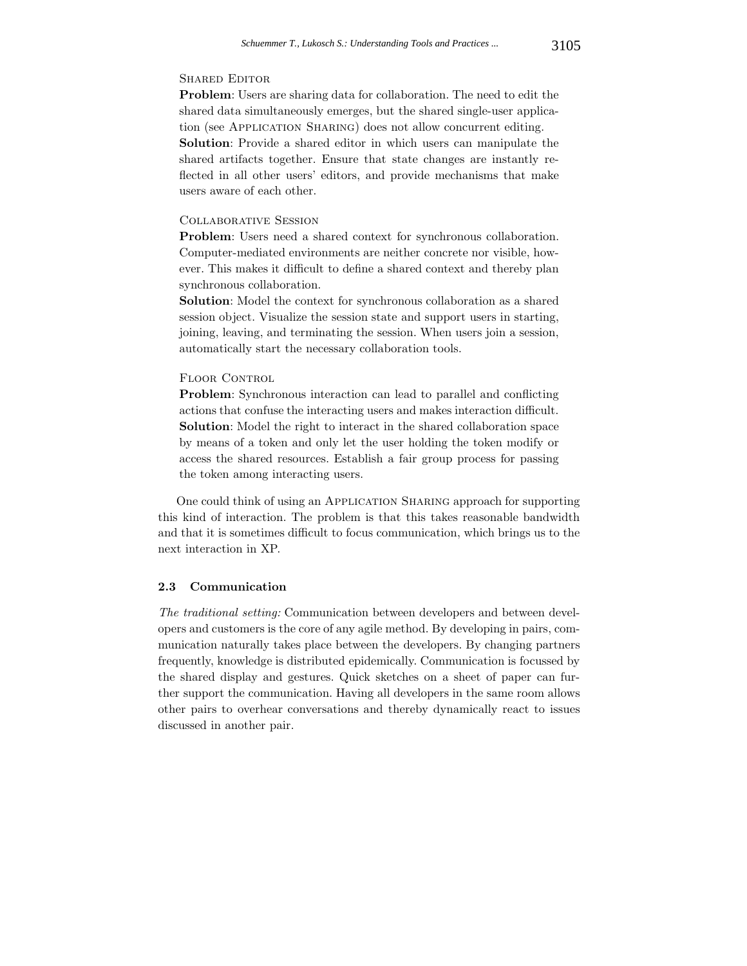# SHARED EDITOR

**Problem**: Users are sharing data for collaboration. The need to edit the shared data simultaneously emerges, but the shared single-user application (see Application Sharing) does not allow concurrent editing. **Solution**: Provide a shared editor in which users can manipulate the shared artifacts together. Ensure that state changes are instantly reflected in all other users' editors, and provide mechanisms that make users aware of each other.

# Collaborative Session

**Problem**: Users need a shared context for synchronous collaboration. Computer-mediated environments are neither concrete nor visible, however. This makes it difficult to define a shared context and thereby plan synchronous collaboration.

**Solution**: Model the context for synchronous collaboration as a shared session object. Visualize the session state and support users in starting, joining, leaving, and terminating the session. When users join a session, automatically start the necessary collaboration tools.

### FLOOR CONTROL

**Problem:** Synchronous interaction can lead to parallel and conflicting actions that confuse the interacting users and makes interaction difficult. **Solution**: Model the right to interact in the shared collaboration space by means of a token and only let the user holding the token modify or access the shared resources. Establish a fair group process for passing the token among interacting users.

One could think of using an Application Sharing approach for supporting this kind of interaction. The problem is that this takes reasonable bandwidth and that it is sometimes difficult to focus communication, which brings us to the next interaction in XP.

### **2.3 Communication**

*The traditional setting:* Communication between developers and between developers and customers is the core of any agile method. By developing in pairs, communication naturally takes place between the developers. By changing partners frequently, knowledge is distributed epidemically. Communication is focussed by the shared display and gestures. Quick sketches on a sheet of paper can further support the communication. Having all developers in the same room allows other pairs to overhear conversations and thereby dynamically react to issues discussed in another pair.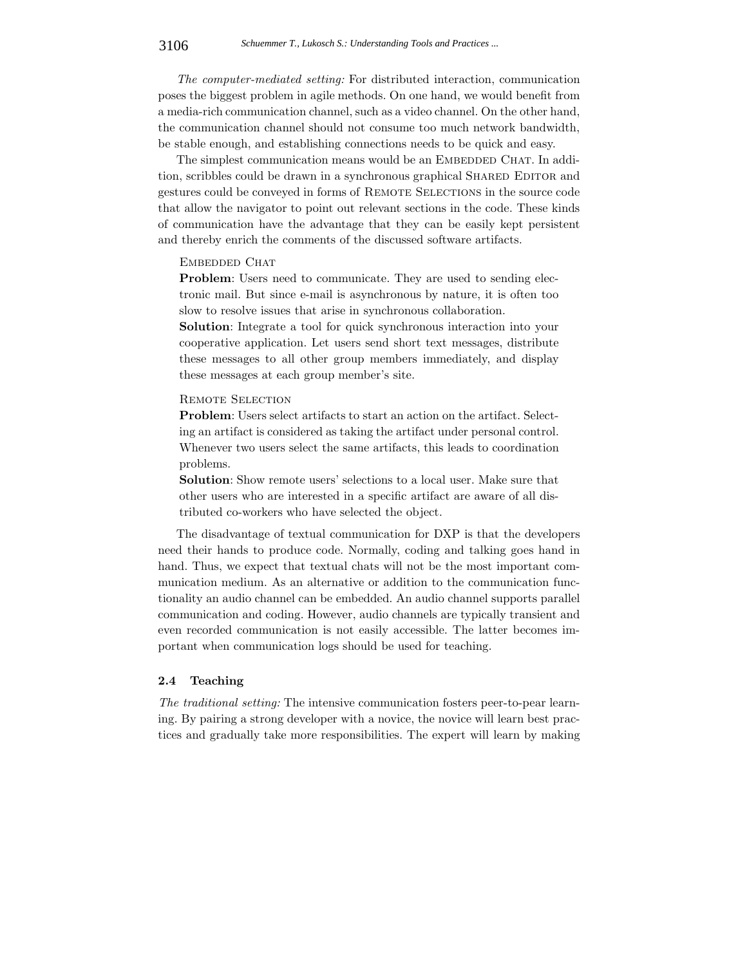*The computer-mediated setting:* For distributed interaction, communication poses the biggest problem in agile methods. On one hand, we would benefit from a media-rich communication channel, such as a video channel. On the other hand, the communication channel should not consume too much network bandwidth, be stable enough, and establishing connections needs to be quick and easy.

The simplest communication means would be an EMBEDDED CHAT. In addition, scribbles could be drawn in a synchronous graphical SHARED EDITOR and gestures could be conveyed in forms of Remote Selections in the source code that allow the navigator to point out relevant sections in the code. These kinds of communication have the advantage that they can be easily kept persistent and thereby enrich the comments of the discussed software artifacts.

# EMBEDDED CHAT

**Problem**: Users need to communicate. They are used to sending electronic mail. But since e-mail is asynchronous by nature, it is often too slow to resolve issues that arise in synchronous collaboration.

**Solution**: Integrate a tool for quick synchronous interaction into your cooperative application. Let users send short text messages, distribute these messages to all other group members immediately, and display these messages at each group member's site.

### Remote Selection

**Problem**: Users select artifacts to start an action on the artifact. Selecting an artifact is considered as taking the artifact under personal control. Whenever two users select the same artifacts, this leads to coordination problems.

**Solution**: Show remote users' selections to a local user. Make sure that other users who are interested in a specific artifact are aware of all distributed co-workers who have selected the object.

The disadvantage of textual communication for DXP is that the developers need their hands to produce code. Normally, coding and talking goes hand in hand. Thus, we expect that textual chats will not be the most important communication medium. As an alternative or addition to the communication functionality an audio channel can be embedded. An audio channel supports parallel communication and coding. However, audio channels are typically transient and even recorded communication is not easily accessible. The latter becomes important when communication logs should be used for teaching.

### **2.4 Teaching**

*The traditional setting:* The intensive communication fosters peer-to-pear learning. By pairing a strong developer with a novice, the novice will learn best practices and gradually take more responsibilities. The expert will learn by making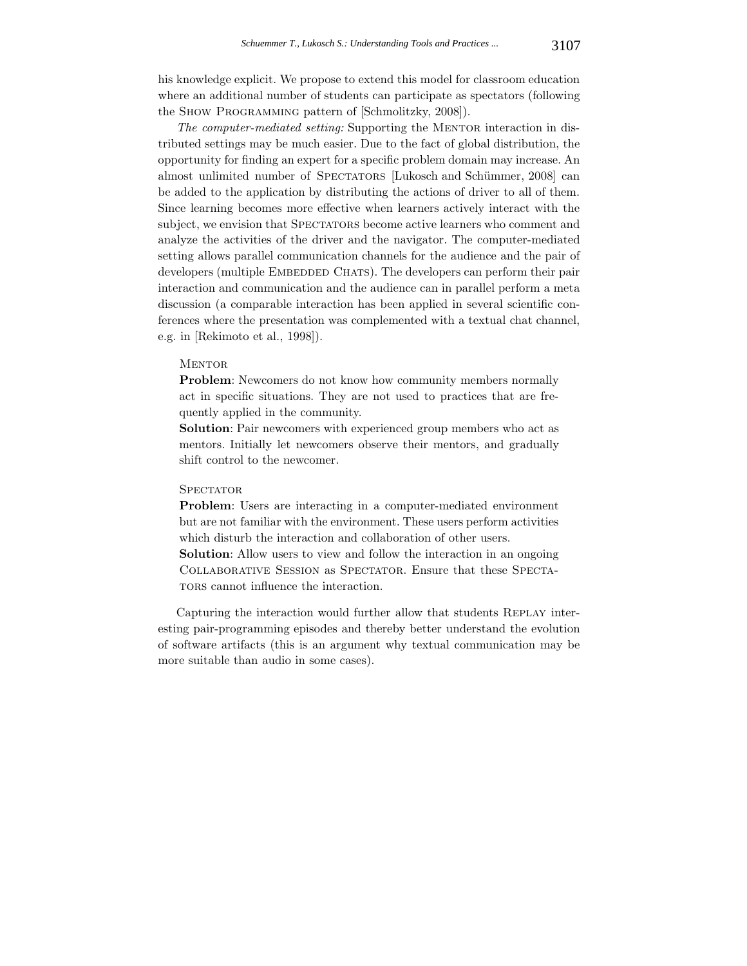his knowledge explicit. We propose to extend this model for classroom education where an additional number of students can participate as spectators (following the Show Programming pattern of [Schmolitzky, 2008]).

*The computer-mediated setting:* Supporting the MENTOR interaction in distributed settings may be much easier. Due to the fact of global distribution, the opportunity for finding an expert for a specific problem domain may increase. An almost unlimited number of SPECTATORS [Lukosch and Schümmer, 2008] can be added to the application by distributing the actions of driver to all of them. Since learning becomes more effective when learners actively interact with the subject, we envision that SPECTATORS become active learners who comment and analyze the activities of the driver and the navigator. The computer-mediated setting allows parallel communication channels for the audience and the pair of developers (multiple EMBEDDED CHATS). The developers can perform their pair interaction and communication and the audience can in parallel perform a meta discussion (a comparable interaction has been applied in several scientific conferences where the presentation was complemented with a textual chat channel, e.g. in [Rekimoto et al., 1998]).

### **MENTOR**

**Problem:** Newcomers do not know how community members normally act in specific situations. They are not used to practices that are frequently applied in the community.

**Solution**: Pair newcomers with experienced group members who act as mentors. Initially let newcomers observe their mentors, and gradually shift control to the newcomer.

### **SPECTATOR**

**Problem**: Users are interacting in a computer-mediated environment but are not familiar with the environment. These users perform activities which disturb the interaction and collaboration of other users.

**Solution**: Allow users to view and follow the interaction in an ongoing Collaborative Session as Spectator. Ensure that these Spectators cannot influence the interaction.

Capturing the interaction would further allow that students Replay interesting pair-programming episodes and thereby better understand the evolution of software artifacts (this is an argument why textual communication may be more suitable than audio in some cases).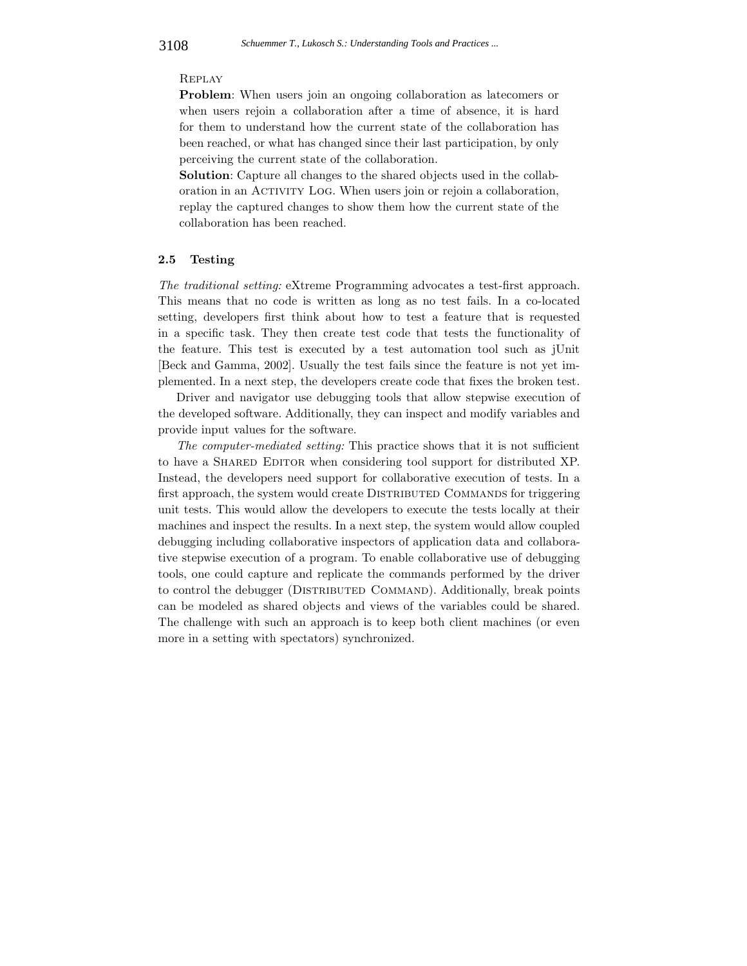# Replay

**Problem**: When users join an ongoing collaboration as latecomers or when users rejoin a collaboration after a time of absence, it is hard for them to understand how the current state of the collaboration has been reached, or what has changed since their last participation, by only perceiving the current state of the collaboration.

**Solution**: Capture all changes to the shared objects used in the collaboration in an Activity Log. When users join or rejoin a collaboration, replay the captured changes to show them how the current state of the collaboration has been reached.

### **2.5 Testing**

*The traditional setting:* eXtreme Programming advocates a test-first approach. This means that no code is written as long as no test fails. In a co-located setting, developers first think about how to test a feature that is requested in a specific task. They then create test code that tests the functionality of the feature. This test is executed by a test automation tool such as jUnit [Beck and Gamma, 2002]. Usually the test fails since the feature is not yet implemented. In a next step, the developers create code that fixes the broken test.

Driver and navigator use debugging tools that allow stepwise execution of the developed software. Additionally, they can inspect and modify variables and provide input values for the software.

*The computer-mediated setting:* This practice shows that it is not sufficient to have a SHARED EDITOR when considering tool support for distributed XP. Instead, the developers need support for collaborative execution of tests. In a first approach, the system would create DISTRIBUTED COMMANDS for triggering unit tests. This would allow the developers to execute the tests locally at their machines and inspect the results. In a next step, the system would allow coupled debugging including collaborative inspectors of application data and collaborative stepwise execution of a program. To enable collaborative use of debugging tools, one could capture and replicate the commands performed by the driver to control the debugger (DISTRIBUTED COMMAND). Additionally, break points can be modeled as shared objects and views of the variables could be shared. The challenge with such an approach is to keep both client machines (or even more in a setting with spectators) synchronized.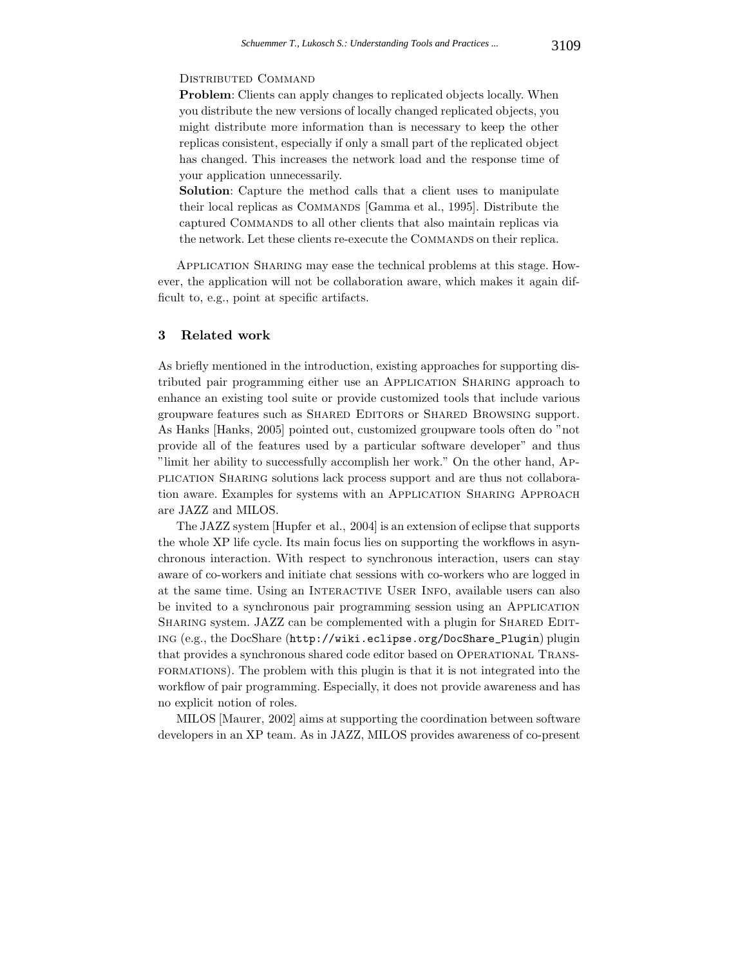### Distributed Command

**Problem**: Clients can apply changes to replicated objects locally. When you distribute the new versions of locally changed replicated objects, you might distribute more information than is necessary to keep the other replicas consistent, especially if only a small part of the replicated object has changed. This increases the network load and the response time of your application unnecessarily.

**Solution**: Capture the method calls that a client uses to manipulate their local replicas as COMMANDS [Gamma et al., 1995]. Distribute the captured Commands to all other clients that also maintain replicas via the network. Let these clients re-execute the COMMANDS on their replica.

Application Sharing may ease the technical problems at this stage. However, the application will not be collaboration aware, which makes it again difficult to, e.g., point at specific artifacts.

# **3 Related work**

As briefly mentioned in the introduction, existing approaches for supporting distributed pair programming either use an Application Sharing approach to enhance an existing tool suite or provide customized tools that include various groupware features such as Shared Editors or Shared Browsing support. As Hanks [Hanks, 2005] pointed out, customized groupware tools often do "not provide all of the features used by a particular software developer" and thus "limit her ability to successfully accomplish her work." On the other hand, Application Sharing solutions lack process support and are thus not collaboration aware. Examples for systems with an APPLICATION SHARING APPROACH are JAZZ and MILOS.

The JAZZ system [Hupfer et al., 2004] is an extension of eclipse that supports the whole XP life cycle. Its main focus lies on supporting the workflows in asynchronous interaction. With respect to synchronous interaction, users can stay aware of co-workers and initiate chat sessions with co-workers who are logged in at the same time. Using an Interactive User Info, available users can also be invited to a synchronous pair programming session using an Application SHARING system. JAZZ can be complemented with a plugin for SHARED EDITing (e.g., the DocShare (http://wiki.eclipse.org/DocShare\_Plugin) plugin that provides a synchronous shared code editor based on OPERATIONAL TRANSformations). The problem with this plugin is that it is not integrated into the workflow of pair programming. Especially, it does not provide awareness and has no explicit notion of roles.

MILOS [Maurer, 2002] aims at supporting the coordination between software developers in an XP team. As in JAZZ, MILOS provides awareness of co-present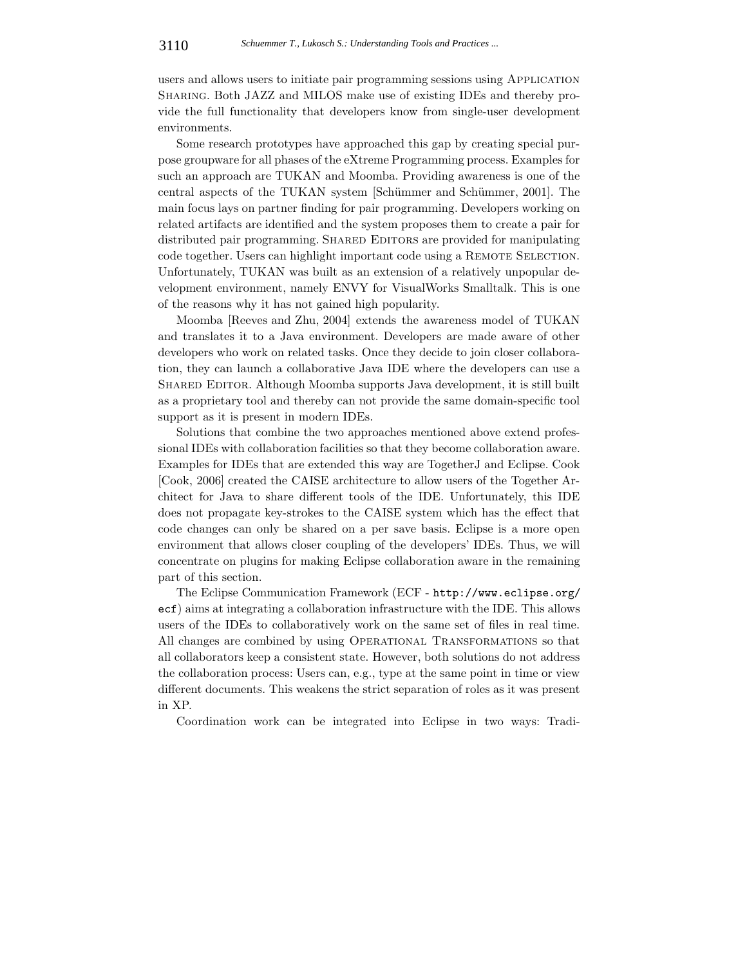users and allows users to initiate pair programming sessions using Application Sharing. Both JAZZ and MILOS make use of existing IDEs and thereby provide the full functionality that developers know from single-user development environments.

Some research prototypes have approached this gap by creating special purpose groupware for all phases of the eXtreme Programming process. Examples for such an approach are TUKAN and Moomba. Providing awareness is one of the central aspects of the TUKAN system [Schümmer and Schümmer, 2001]. The main focus lays on partner finding for pair programming. Developers working on related artifacts are identified and the system proposes them to create a pair for distributed pair programming. SHARED EDITORS are provided for manipulating code together. Users can highlight important code using a REMOTE SELECTION. Unfortunately, TUKAN was built as an extension of a relatively unpopular development environment, namely ENVY for VisualWorks Smalltalk. This is one of the reasons why it has not gained high popularity.

Moomba [Reeves and Zhu, 2004] extends the awareness model of TUKAN and translates it to a Java environment. Developers are made aware of other developers who work on related tasks. Once they decide to join closer collaboration, they can launch a collaborative Java IDE where the developers can use a SHARED EDITOR. Although Moomba supports Java development, it is still built as a proprietary tool and thereby can not provide the same domain-specific tool support as it is present in modern IDEs.

Solutions that combine the two approaches mentioned above extend professional IDEs with collaboration facilities so that they become collaboration aware. Examples for IDEs that are extended this way are TogetherJ and Eclipse. Cook [Cook, 2006] created the CAISE architecture to allow users of the Together Architect for Java to share different tools of the IDE. Unfortunately, this IDE does not propagate key-strokes to the CAISE system which has the effect that code changes can only be shared on a per save basis. Eclipse is a more open environment that allows closer coupling of the developers' IDEs. Thus, we will concentrate on plugins for making Eclipse collaboration aware in the remaining part of this section.

The Eclipse Communication Framework (ECF - http://www.eclipse.org/ ecf) aims at integrating a collaboration infrastructure with the IDE. This allows users of the IDEs to collaboratively work on the same set of files in real time. All changes are combined by using Operational Transformations so that all collaborators keep a consistent state. However, both solutions do not address the collaboration process: Users can, e.g., type at the same point in time or view different documents. This weakens the strict separation of roles as it was present in XP.

Coordination work can be integrated into Eclipse in two ways: Tradi-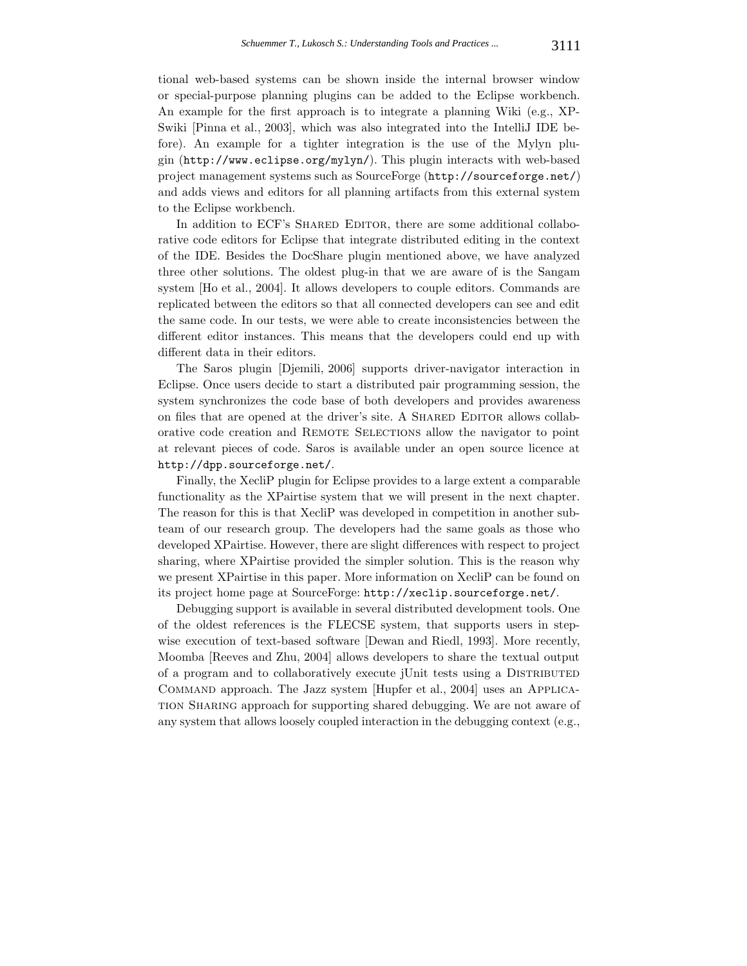tional web-based systems can be shown inside the internal browser window or special-purpose planning plugins can be added to the Eclipse workbench. An example for the first approach is to integrate a planning Wiki (e.g., XP-Swiki [Pinna et al., 2003], which was also integrated into the IntelliJ IDE before). An example for a tighter integration is the use of the Mylyn plugin (http://www.eclipse.org/mylyn/). This plugin interacts with web-based project management systems such as SourceForge (http://sourceforge.net/) and adds views and editors for all planning artifacts from this external system to the Eclipse workbench.

In addition to ECF's SHARED EDITOR, there are some additional collaborative code editors for Eclipse that integrate distributed editing in the context of the IDE. Besides the DocShare plugin mentioned above, we have analyzed three other solutions. The oldest plug-in that we are aware of is the Sangam system [Ho et al., 2004]. It allows developers to couple editors. Commands are replicated between the editors so that all connected developers can see and edit the same code. In our tests, we were able to create inconsistencies between the different editor instances. This means that the developers could end up with different data in their editors.

The Saros plugin [Djemili, 2006] supports driver-navigator interaction in Eclipse. Once users decide to start a distributed pair programming session, the system synchronizes the code base of both developers and provides awareness on files that are opened at the driver's site. A SHARED EDITOR allows collaborative code creation and REMOTE SELECTIONS allow the navigator to point at relevant pieces of code. Saros is available under an open source licence at http://dpp.sourceforge.net/.

Finally, the XecliP plugin for Eclipse provides to a large extent a comparable functionality as the XPairtise system that we will present in the next chapter. The reason for this is that XecliP was developed in competition in another subteam of our research group. The developers had the same goals as those who developed XPairtise. However, there are slight differences with respect to project sharing, where XPairtise provided the simpler solution. This is the reason why we present XPairtise in this paper. More information on XecliP can be found on its project home page at SourceForge: http://xeclip.sourceforge.net/.

Debugging support is available in several distributed development tools. One of the oldest references is the FLECSE system, that supports users in stepwise execution of text-based software [Dewan and Riedl, 1993]. More recently, Moomba [Reeves and Zhu, 2004] allows developers to share the textual output of a program and to collaboratively execute jUnit tests using a Distributed Command approach. The Jazz system [Hupfer et al., 2004] uses an Application Sharing approach for supporting shared debugging. We are not aware of any system that allows loosely coupled interaction in the debugging context (e.g.,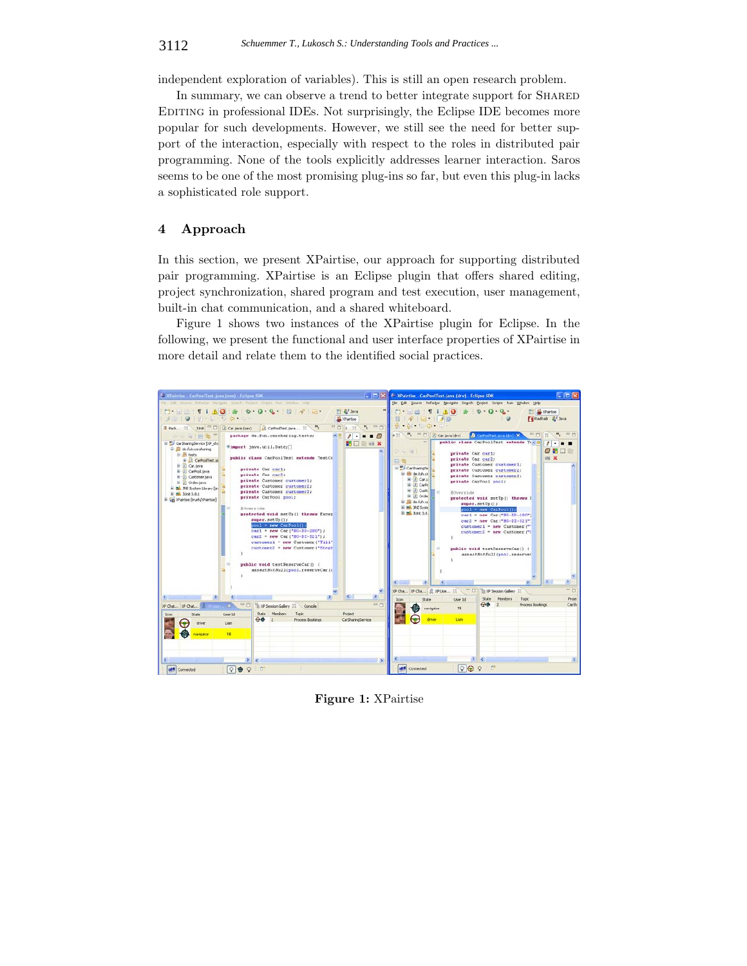independent exploration of variables). This is still an open research problem.

In summary, we can observe a trend to better integrate support for SHARED Editing in professional IDEs. Not surprisingly, the Eclipse IDE becomes more popular for such developments. However, we still see the need for better support of the interaction, especially with respect to the roles in distributed pair programming. None of the tools explicitly addresses learner interaction. Saros seems to be one of the most promising plug-ins so far, but even this plug-in lacks a sophisticated role support.

# **4 Approach**

In this section, we present XPairtise, our approach for supporting distributed pair programming. XPairtise is an Eclipse plugin that offers shared editing, project synchronization, shared program and test execution, user management, built-in chat communication, and a shared whiteboard.

Figure 1 shows two instances of the XPairtise plugin for Eclipse. In the following, we present the functional and user interface properties of XPairtise in more detail and relate them to the identified social practices.



**Figure 1:** XPairtise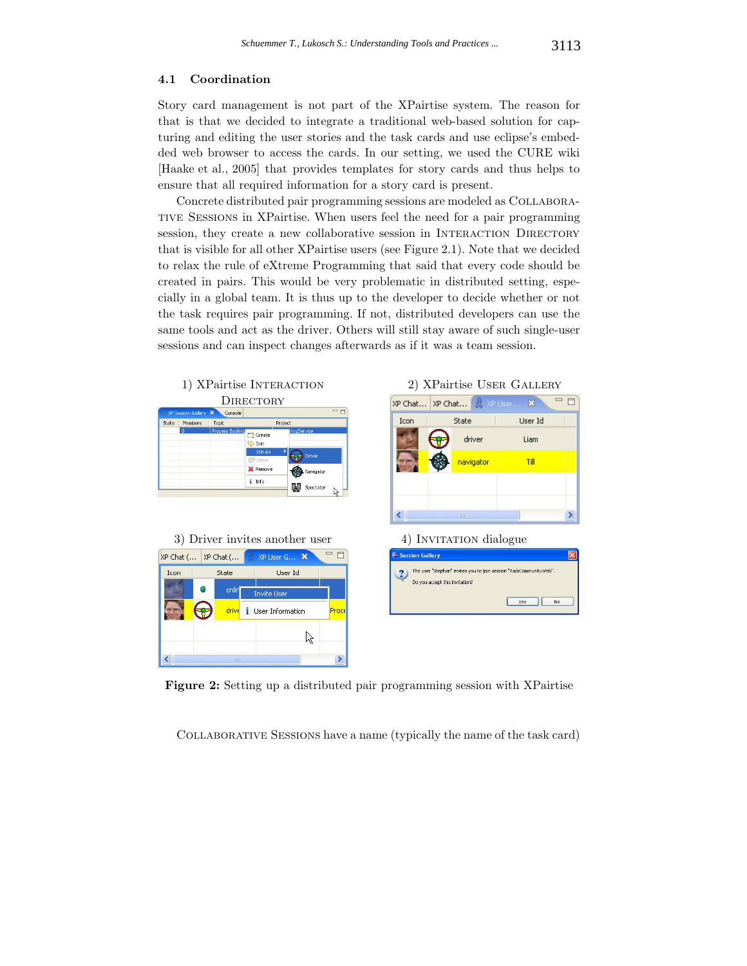## **4.1 Coordination**

Story card management is not part of the XPairtise system. The reason for that is that we decided to integrate a traditional web-based solution for capturing and editing the user stories and the task cards and use eclipse's embedded web browser to access the cards. In our setting, we used the CURE wiki [Haake et al., 2005] that provides templates for story cards and thus helps to ensure that all required information for a story card is present.

Concrete distributed pair programming sessions are modeled as Collaborative Sessions in XPairtise. When users feel the need for a pair programming session, they create a new collaborative session in INTERACTION DIRECTORY that is visible for all other XPairtise users (see Figure 2.1). Note that we decided to relax the rule of eXtreme Programming that said that every code should be created in pairs. This would be very problematic in distributed setting, especially in a global team. It is thus up to the developer to decide whether or not the task requires pair programming. If not, distributed developers can use the same tools and act as the driver. Others will still stay aware of such single-user sessions and can inspect changes afterwards as if it was a team session.









 $Yes$ 

 $\Box$  No



Collaborative Sessions have a name (typically the name of the task card)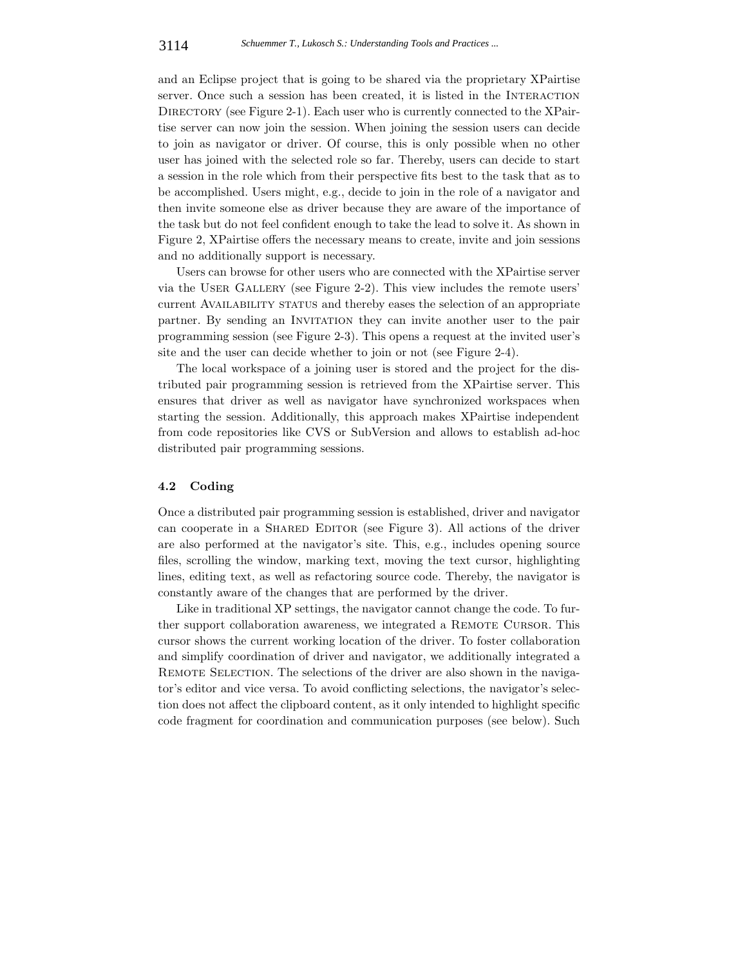and an Eclipse project that is going to be shared via the proprietary XPairtise server. Once such a session has been created, it is listed in the Interaction DIRECTORY (see Figure 2-1). Each user who is currently connected to the XPairtise server can now join the session. When joining the session users can decide to join as navigator or driver. Of course, this is only possible when no other user has joined with the selected role so far. Thereby, users can decide to start a session in the role which from their perspective fits best to the task that as to be accomplished. Users might, e.g., decide to join in the role of a navigator and then invite someone else as driver because they are aware of the importance of the task but do not feel confident enough to take the lead to solve it. As shown in Figure 2, XPairtise offers the necessary means to create, invite and join sessions and no additionally support is necessary.

Users can browse for other users who are connected with the XPairtise server via the User Gallery (see Figure 2-2). This view includes the remote users' current Availability status and thereby eases the selection of an appropriate partner. By sending an Invitation they can invite another user to the pair programming session (see Figure 2-3). This opens a request at the invited user's site and the user can decide whether to join or not (see Figure 2-4).

The local workspace of a joining user is stored and the project for the distributed pair programming session is retrieved from the XPairtise server. This ensures that driver as well as navigator have synchronized workspaces when starting the session. Additionally, this approach makes XPairtise independent from code repositories like CVS or SubVersion and allows to establish ad-hoc distributed pair programming sessions.

### **4.2 Coding**

Once a distributed pair programming session is established, driver and navigator can cooperate in a SHARED EDITOR (see Figure 3). All actions of the driver are also performed at the navigator's site. This, e.g., includes opening source files, scrolling the window, marking text, moving the text cursor, highlighting lines, editing text, as well as refactoring source code. Thereby, the navigator is constantly aware of the changes that are performed by the driver.

Like in traditional XP settings, the navigator cannot change the code. To further support collaboration awareness, we integrated a REMOTE CURSOR. This cursor shows the current working location of the driver. To foster collaboration and simplify coordination of driver and navigator, we additionally integrated a Remote Selection. The selections of the driver are also shown in the navigator's editor and vice versa. To avoid conflicting selections, the navigator's selection does not affect the clipboard content, as it only intended to highlight specific code fragment for coordination and communication purposes (see below). Such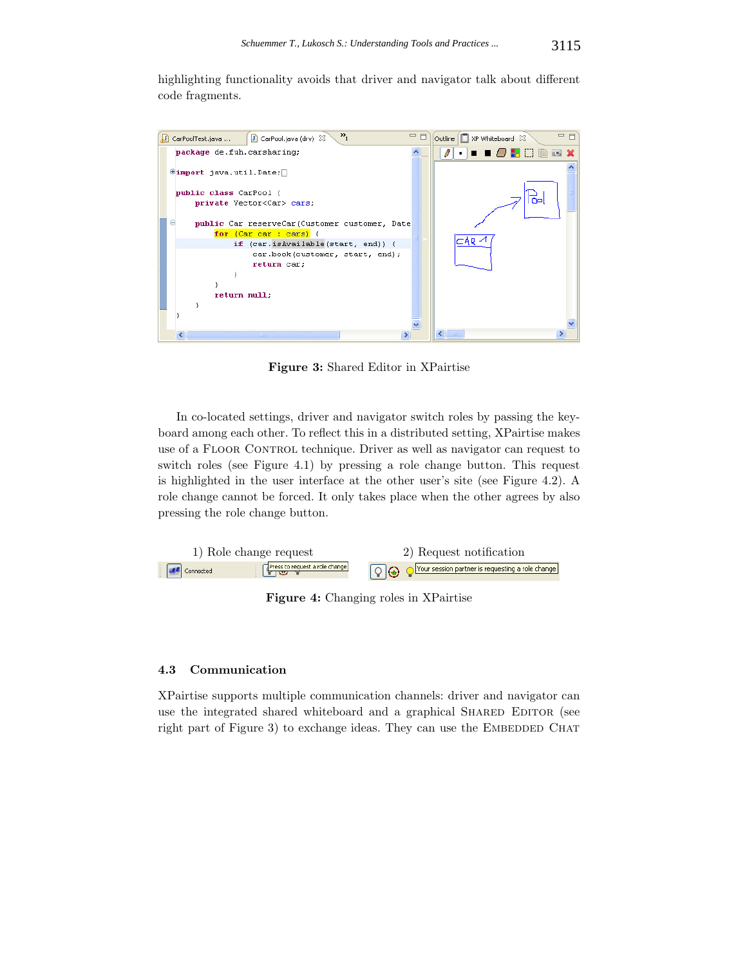highlighting functionality avoids that driver and navigator talk about different code fragments.



**Figure 3:** Shared Editor in XPairtise

In co-located settings, driver and navigator switch roles by passing the keyboard among each other. To reflect this in a distributed setting, XPairtise makes use of a FLOOR CONTROL technique. Driver as well as navigator can request to switch roles (see Figure 4.1) by pressing a role change button. This request is highlighted in the user interface at the other user's site (see Figure 4.2). A role change cannot be forced. It only takes place when the other agrees by also pressing the role change button.



**Figure 4:** Changing roles in XPairtise

# **4.3 Communication**

XPairtise supports multiple communication channels: driver and navigator can use the integrated shared whiteboard and a graphical SHARED EDITOR (see right part of Figure 3) to exchange ideas. They can use the EMBEDDED CHAT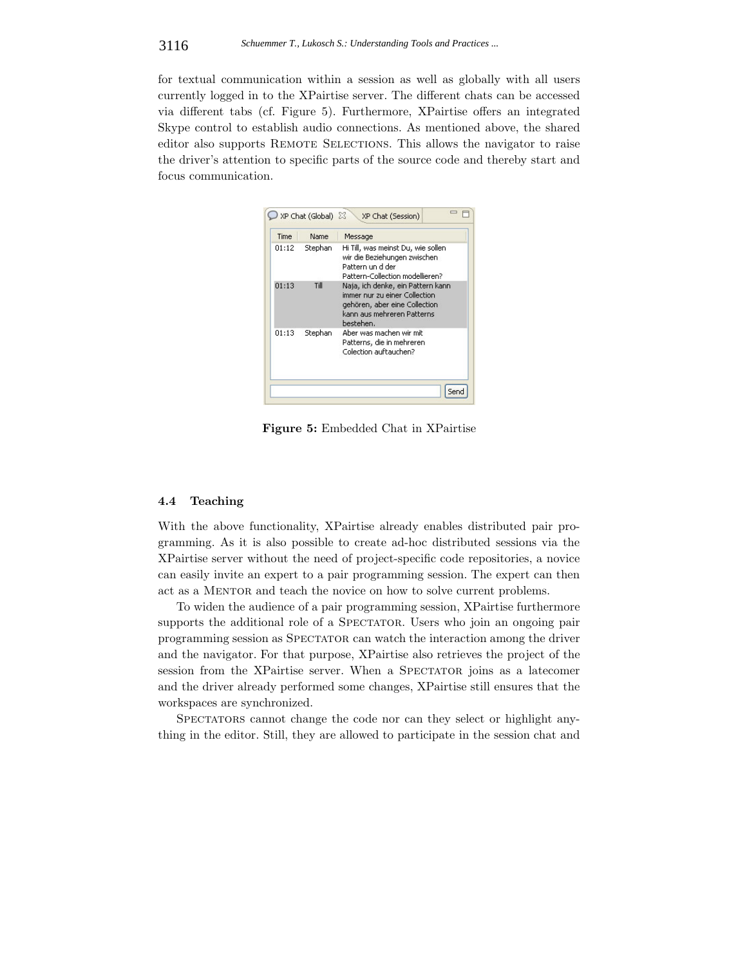for textual communication within a session as well as globally with all users currently logged in to the XPairtise server. The different chats can be accessed via different tabs (cf. Figure 5). Furthermore, XPairtise offers an integrated Skype control to establish audio connections. As mentioned above, the shared editor also supports REMOTE SELECTIONS. This allows the navigator to raise the driver's attention to specific parts of the source code and thereby start and focus communication.



**Figure 5:** Embedded Chat in XPairtise

### **4.4 Teaching**

With the above functionality, XPairtise already enables distributed pair programming. As it is also possible to create ad-hoc distributed sessions via the XPairtise server without the need of project-specific code repositories, a novice can easily invite an expert to a pair programming session. The expert can then act as a MENTOR and teach the novice on how to solve current problems.

To widen the audience of a pair programming session, XPairtise furthermore supports the additional role of a SPECTATOR. Users who join an ongoing pair programming session as Spectator can watch the interaction among the driver and the navigator. For that purpose, XPairtise also retrieves the project of the session from the XPairtise server. When a SPECTATOR joins as a latecomer and the driver already performed some changes, XPairtise still ensures that the workspaces are synchronized.

SPECTATORS cannot change the code nor can they select or highlight anything in the editor. Still, they are allowed to participate in the session chat and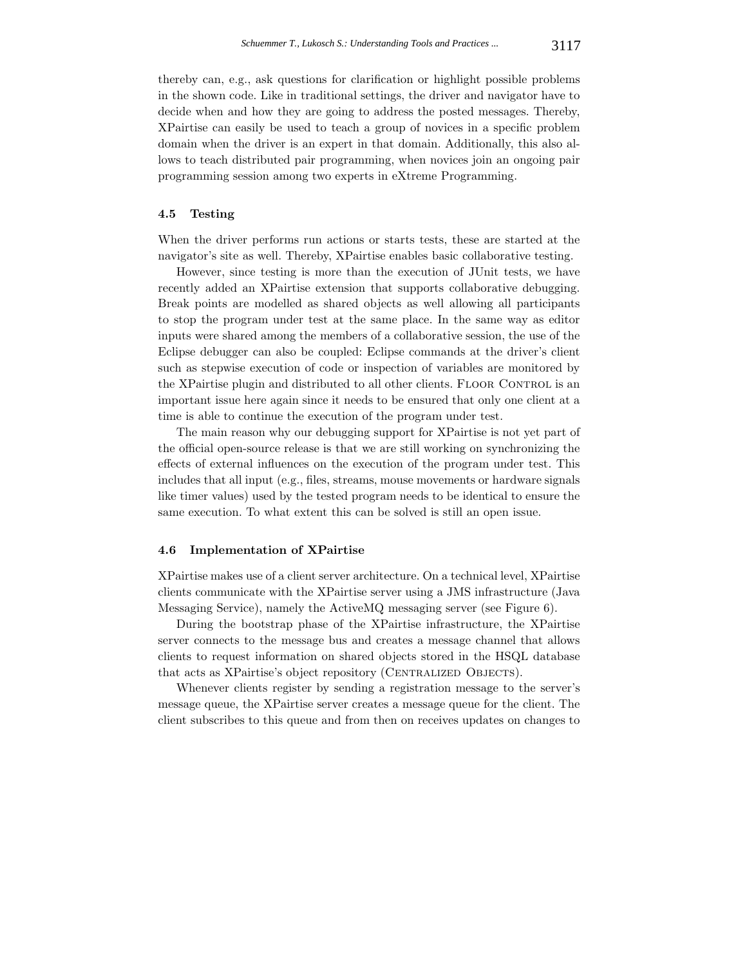thereby can, e.g., ask questions for clarification or highlight possible problems in the shown code. Like in traditional settings, the driver and navigator have to decide when and how they are going to address the posted messages. Thereby, XPairtise can easily be used to teach a group of novices in a specific problem domain when the driver is an expert in that domain. Additionally, this also allows to teach distributed pair programming, when novices join an ongoing pair programming session among two experts in eXtreme Programming.

### **4.5 Testing**

When the driver performs run actions or starts tests, these are started at the navigator's site as well. Thereby, XPairtise enables basic collaborative testing.

However, since testing is more than the execution of JUnit tests, we have recently added an XPairtise extension that supports collaborative debugging. Break points are modelled as shared objects as well allowing all participants to stop the program under test at the same place. In the same way as editor inputs were shared among the members of a collaborative session, the use of the Eclipse debugger can also be coupled: Eclipse commands at the driver's client such as stepwise execution of code or inspection of variables are monitored by the XPairtise plugin and distributed to all other clients. FLOOR CONTROL is an important issue here again since it needs to be ensured that only one client at a time is able to continue the execution of the program under test.

The main reason why our debugging support for XPairtise is not yet part of the official open-source release is that we are still working on synchronizing the effects of external influences on the execution of the program under test. This includes that all input (e.g., files, streams, mouse movements or hardware signals like timer values) used by the tested program needs to be identical to ensure the same execution. To what extent this can be solved is still an open issue.

### **4.6 Implementation of XPairtise**

XPairtise makes use of a client server architecture. On a technical level, XPairtise clients communicate with the XPairtise server using a JMS infrastructure (Java Messaging Service), namely the ActiveMQ messaging server (see Figure 6).

During the bootstrap phase of the XPairtise infrastructure, the XPairtise server connects to the message bus and creates a message channel that allows clients to request information on shared objects stored in the HSQL database that acts as XPairtise's object repository (CENTRALIZED OBJECTS).

Whenever clients register by sending a registration message to the server's message queue, the XPairtise server creates a message queue for the client. The client subscribes to this queue and from then on receives updates on changes to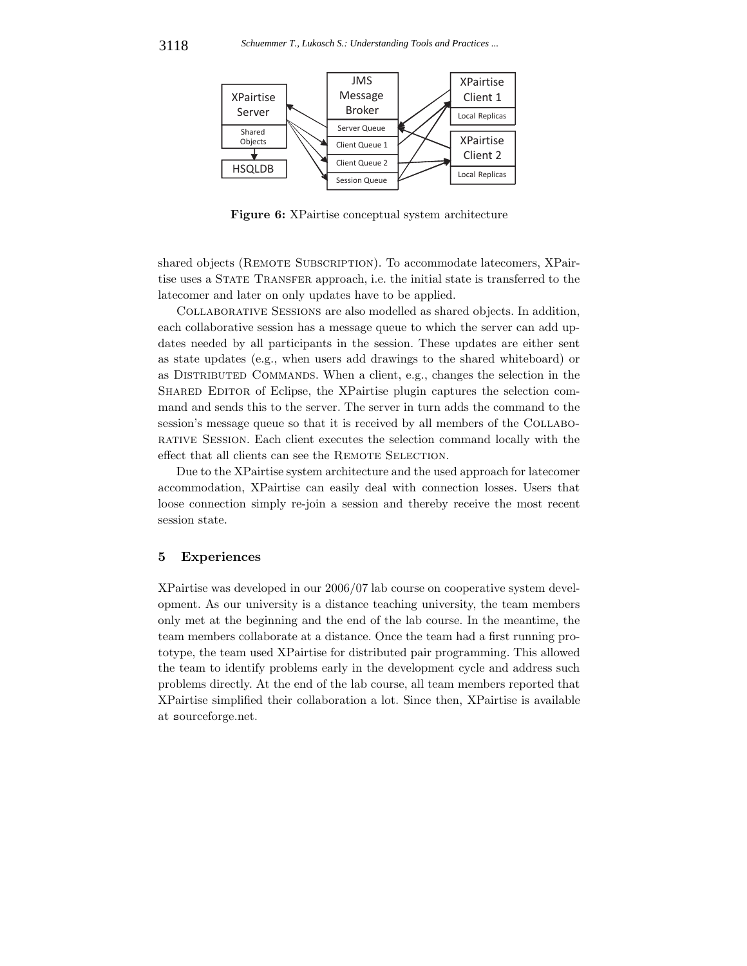

**Figure 6:** XPairtise conceptual system architecture

shared objects (REMOTE SUBSCRIPTION). To accommodate latecomers, XPairtise uses a STATE TRANSFER approach, i.e. the initial state is transferred to the latecomer and later on only updates have to be applied.

Collaborative Sessions are also modelled as shared objects. In addition, each collaborative session has a message queue to which the server can add updates needed by all participants in the session. These updates are either sent as state updates (e.g., when users add drawings to the shared whiteboard) or as DISTRIBUTED COMMANDS. When a client, e.g., changes the selection in the SHARED EDITOR of Eclipse, the XPairtise plugin captures the selection command and sends this to the server. The server in turn adds the command to the session's message queue so that it is received by all members of the COLLABOrative Session. Each client executes the selection command locally with the effect that all clients can see the REMOTE SELECTION.

Due to the XPairtise system architecture and the used approach for latecomer accommodation, XPairtise can easily deal with connection losses. Users that loose connection simply re-join a session and thereby receive the most recent session state.

# **5 Experiences**

XPairtise was developed in our 2006/07 lab course on cooperative system development. As our university is a distance teaching university, the team members only met at the beginning and the end of the lab course. In the meantime, the team members collaborate at a distance. Once the team had a first running prototype, the team used XPairtise for distributed pair programming. This allowed the team to identify problems early in the development cycle and address such problems directly. At the end of the lab course, all team members reported that XPairtise simplified their collaboration a lot. Since then, XPairtise is available at sourceforge.net.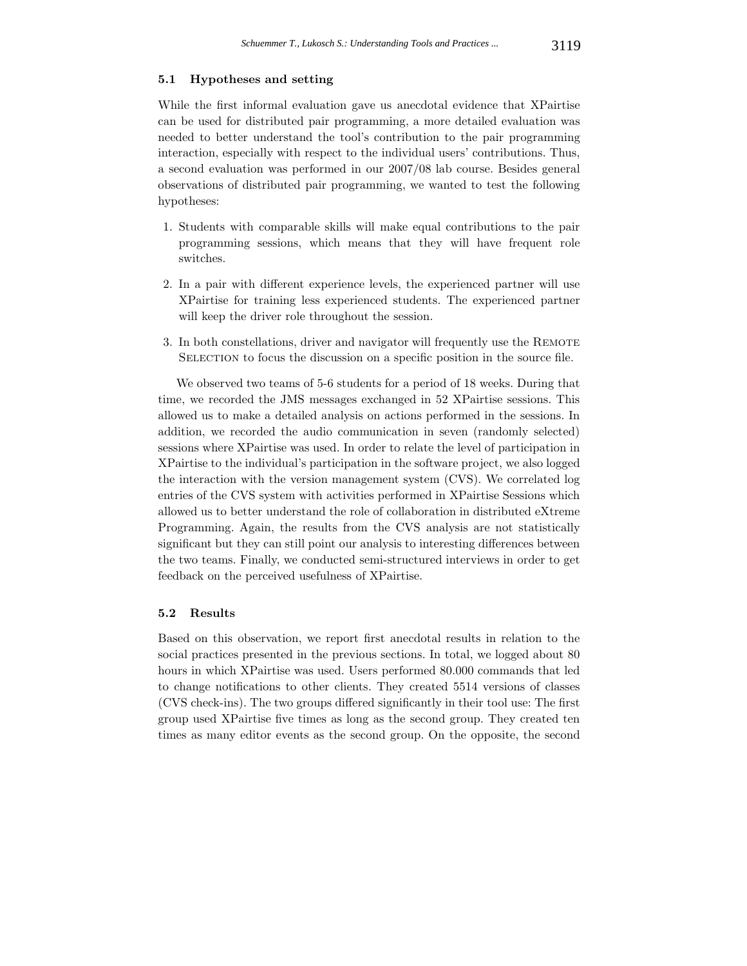#### **5.1 Hypotheses and setting**

While the first informal evaluation gave us anecdotal evidence that XPairtise can be used for distributed pair programming, a more detailed evaluation was needed to better understand the tool's contribution to the pair programming interaction, especially with respect to the individual users' contributions. Thus, a second evaluation was performed in our 2007/08 lab course. Besides general observations of distributed pair programming, we wanted to test the following hypotheses:

- 1. Students with comparable skills will make equal contributions to the pair programming sessions, which means that they will have frequent role switches.
- 2. In a pair with different experience levels, the experienced partner will use XPairtise for training less experienced students. The experienced partner will keep the driver role throughout the session.
- 3. In both constellations, driver and navigator will frequently use the REMOTE SELECTION to focus the discussion on a specific position in the source file.

We observed two teams of 5-6 students for a period of 18 weeks. During that time, we recorded the JMS messages exchanged in 52 XPairtise sessions. This allowed us to make a detailed analysis on actions performed in the sessions. In addition, we recorded the audio communication in seven (randomly selected) sessions where XPairtise was used. In order to relate the level of participation in XPairtise to the individual's participation in the software project, we also logged the interaction with the version management system (CVS). We correlated log entries of the CVS system with activities performed in XPairtise Sessions which allowed us to better understand the role of collaboration in distributed eXtreme Programming. Again, the results from the CVS analysis are not statistically significant but they can still point our analysis to interesting differences between the two teams. Finally, we conducted semi-structured interviews in order to get feedback on the perceived usefulness of XPairtise.

### **5.2 Results**

Based on this observation, we report first anecdotal results in relation to the social practices presented in the previous sections. In total, we logged about 80 hours in which XPairtise was used. Users performed 80.000 commands that led to change notifications to other clients. They created 5514 versions of classes (CVS check-ins). The two groups differed significantly in their tool use: The first group used XPairtise five times as long as the second group. They created ten times as many editor events as the second group. On the opposite, the second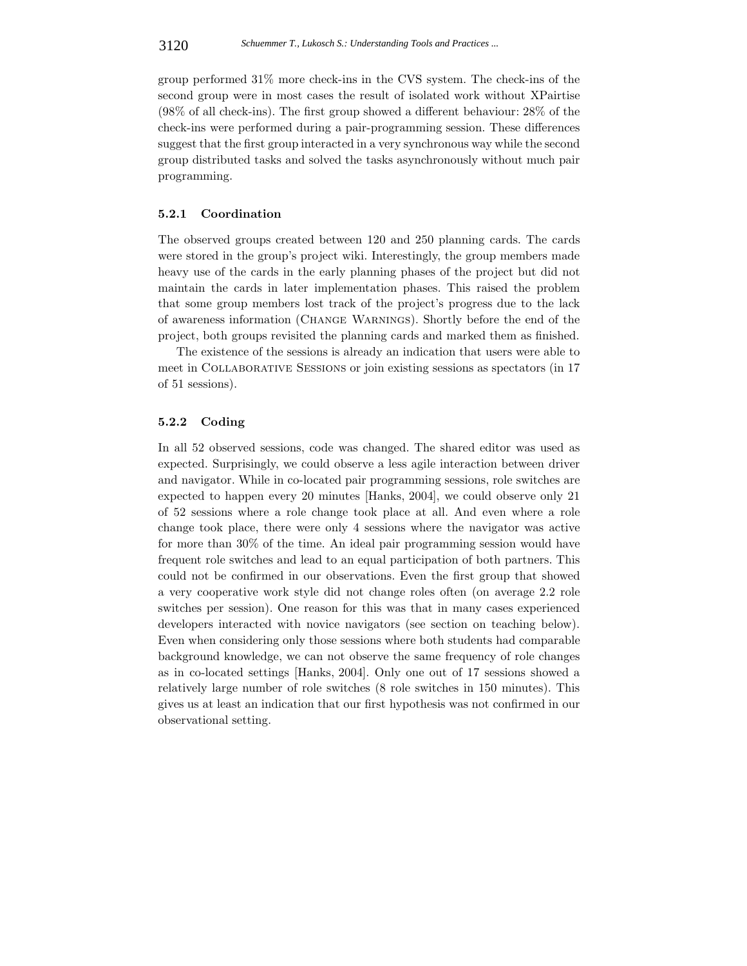group performed 31% more check-ins in the CVS system. The check-ins of the second group were in most cases the result of isolated work without XPairtise (98% of all check-ins). The first group showed a different behaviour: 28% of the check-ins were performed during a pair-programming session. These differences suggest that the first group interacted in a very synchronous way while the second group distributed tasks and solved the tasks asynchronously without much pair programming.

### **5.2.1 Coordination**

The observed groups created between 120 and 250 planning cards. The cards were stored in the group's project wiki. Interestingly, the group members made heavy use of the cards in the early planning phases of the project but did not maintain the cards in later implementation phases. This raised the problem that some group members lost track of the project's progress due to the lack of awareness information (Change Warnings). Shortly before the end of the project, both groups revisited the planning cards and marked them as finished.

The existence of the sessions is already an indication that users were able to meet in Collaborative Sessions or join existing sessions as spectators (in 17 of 51 sessions).

# **5.2.2 Coding**

In all 52 observed sessions, code was changed. The shared editor was used as expected. Surprisingly, we could observe a less agile interaction between driver and navigator. While in co-located pair programming sessions, role switches are expected to happen every 20 minutes [Hanks, 2004], we could observe only 21 of 52 sessions where a role change took place at all. And even where a role change took place, there were only 4 sessions where the navigator was active for more than 30% of the time. An ideal pair programming session would have frequent role switches and lead to an equal participation of both partners. This could not be confirmed in our observations. Even the first group that showed a very cooperative work style did not change roles often (on average 2.2 role switches per session). One reason for this was that in many cases experienced developers interacted with novice navigators (see section on teaching below). Even when considering only those sessions where both students had comparable background knowledge, we can not observe the same frequency of role changes as in co-located settings [Hanks, 2004]. Only one out of 17 sessions showed a relatively large number of role switches (8 role switches in 150 minutes). This gives us at least an indication that our first hypothesis was not confirmed in our observational setting.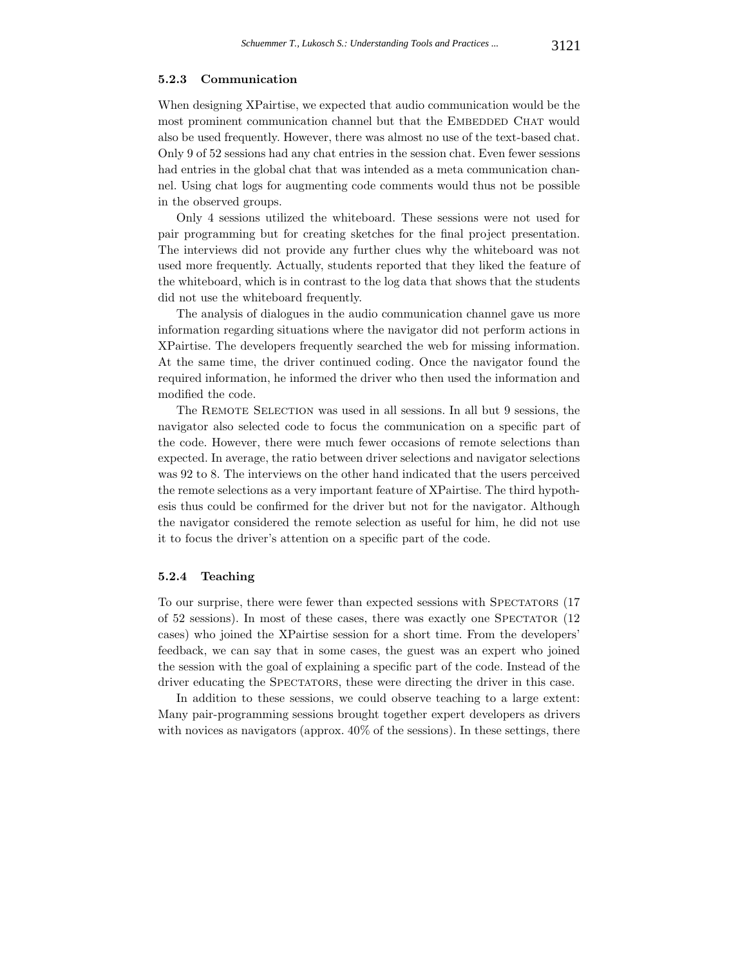#### **5.2.3 Communication**

When designing XPairtise, we expected that audio communication would be the most prominent communication channel but that the EMBEDDED CHAT would also be used frequently. However, there was almost no use of the text-based chat. Only 9 of 52 sessions had any chat entries in the session chat. Even fewer sessions had entries in the global chat that was intended as a meta communication channel. Using chat logs for augmenting code comments would thus not be possible in the observed groups.

Only 4 sessions utilized the whiteboard. These sessions were not used for pair programming but for creating sketches for the final project presentation. The interviews did not provide any further clues why the whiteboard was not used more frequently. Actually, students reported that they liked the feature of the whiteboard, which is in contrast to the log data that shows that the students did not use the whiteboard frequently.

The analysis of dialogues in the audio communication channel gave us more information regarding situations where the navigator did not perform actions in XPairtise. The developers frequently searched the web for missing information. At the same time, the driver continued coding. Once the navigator found the required information, he informed the driver who then used the information and modified the code.

The Remote Selection was used in all sessions. In all but 9 sessions, the navigator also selected code to focus the communication on a specific part of the code. However, there were much fewer occasions of remote selections than expected. In average, the ratio between driver selections and navigator selections was 92 to 8. The interviews on the other hand indicated that the users perceived the remote selections as a very important feature of XPairtise. The third hypothesis thus could be confirmed for the driver but not for the navigator. Although the navigator considered the remote selection as useful for him, he did not use it to focus the driver's attention on a specific part of the code.

### **5.2.4 Teaching**

To our surprise, there were fewer than expected sessions with Spectators (17 of 52 sessions). In most of these cases, there was exactly one Spectator (12 cases) who joined the XPairtise session for a short time. From the developers' feedback, we can say that in some cases, the guest was an expert who joined the session with the goal of explaining a specific part of the code. Instead of the driver educating the Spectators, these were directing the driver in this case.

In addition to these sessions, we could observe teaching to a large extent: Many pair-programming sessions brought together expert developers as drivers with novices as navigators (approx. 40% of the sessions). In these settings, there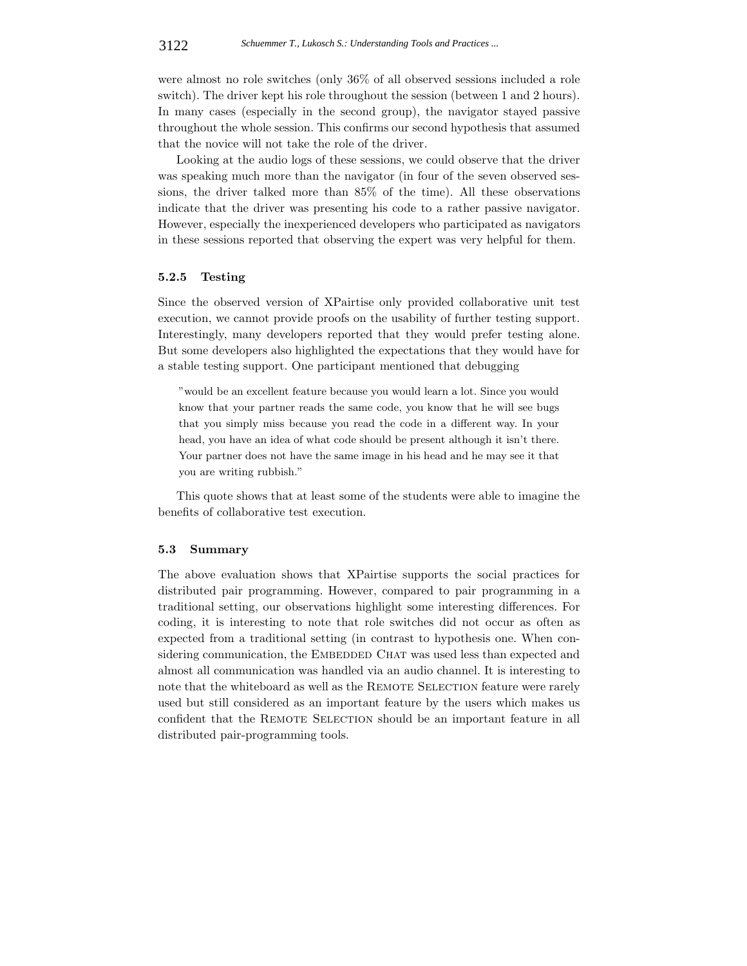were almost no role switches (only 36% of all observed sessions included a role switch). The driver kept his role throughout the session (between 1 and 2 hours). In many cases (especially in the second group), the navigator stayed passive throughout the whole session. This confirms our second hypothesis that assumed that the novice will not take the role of the driver.

Looking at the audio logs of these sessions, we could observe that the driver was speaking much more than the navigator (in four of the seven observed sessions, the driver talked more than 85% of the time). All these observations indicate that the driver was presenting his code to a rather passive navigator. However, especially the inexperienced developers who participated as navigators in these sessions reported that observing the expert was very helpful for them.

# **5.2.5 Testing**

Since the observed version of XPairtise only provided collaborative unit test execution, we cannot provide proofs on the usability of further testing support. Interestingly, many developers reported that they would prefer testing alone. But some developers also highlighted the expectations that they would have for a stable testing support. One participant mentioned that debugging

"would be an excellent feature because you would learn a lot. Since you would know that your partner reads the same code, you know that he will see bugs that you simply miss because you read the code in a different way. In your head, you have an idea of what code should be present although it isn't there. Your partner does not have the same image in his head and he may see it that you are writing rubbish."

This quote shows that at least some of the students were able to imagine the benefits of collaborative test execution.

### **5.3 Summary**

The above evaluation shows that XPairtise supports the social practices for distributed pair programming. However, compared to pair programming in a traditional setting, our observations highlight some interesting differences. For coding, it is interesting to note that role switches did not occur as often as expected from a traditional setting (in contrast to hypothesis one. When considering communication, the EMBEDDED CHAT was used less than expected and almost all communication was handled via an audio channel. It is interesting to note that the whiteboard as well as the REMOTE SELECTION feature were rarely used but still considered as an important feature by the users which makes us confident that the REMOTE SELECTION should be an important feature in all distributed pair-programming tools.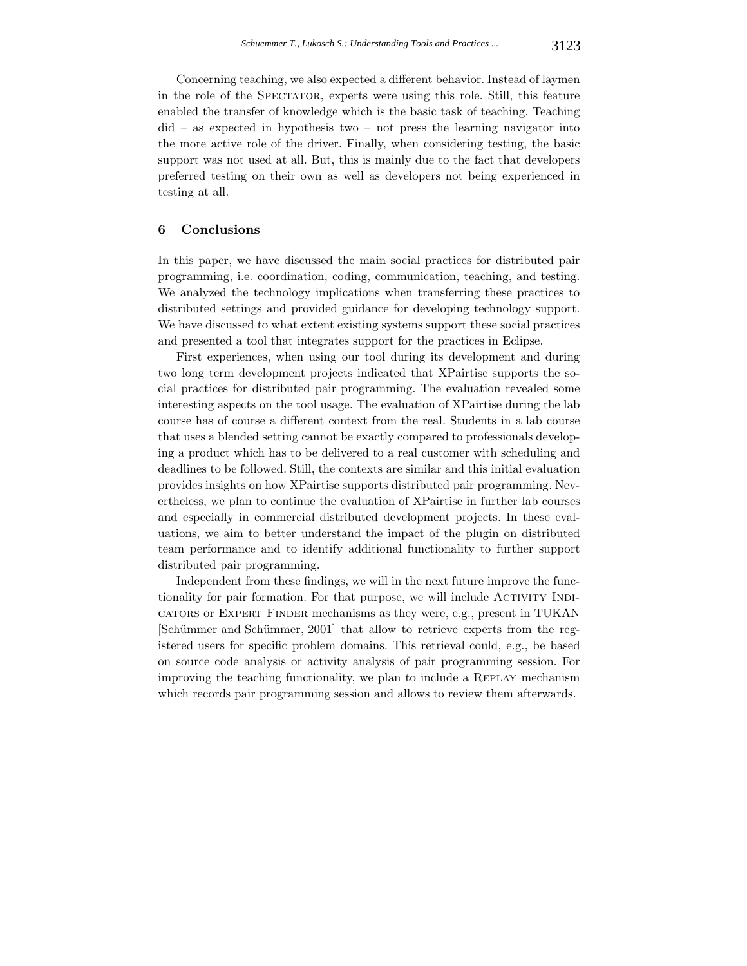Concerning teaching, we also expected a different behavior. Instead of laymen in the role of the Spectator, experts were using this role. Still, this feature enabled the transfer of knowledge which is the basic task of teaching. Teaching did – as expected in hypothesis two – not press the learning navigator into the more active role of the driver. Finally, when considering testing, the basic support was not used at all. But, this is mainly due to the fact that developers preferred testing on their own as well as developers not being experienced in testing at all.

# **6 Conclusions**

In this paper, we have discussed the main social practices for distributed pair programming, i.e. coordination, coding, communication, teaching, and testing. We analyzed the technology implications when transferring these practices to distributed settings and provided guidance for developing technology support. We have discussed to what extent existing systems support these social practices and presented a tool that integrates support for the practices in Eclipse.

First experiences, when using our tool during its development and during two long term development projects indicated that XPairtise supports the social practices for distributed pair programming. The evaluation revealed some interesting aspects on the tool usage. The evaluation of XPairtise during the lab course has of course a different context from the real. Students in a lab course that uses a blended setting cannot be exactly compared to professionals developing a product which has to be delivered to a real customer with scheduling and deadlines to be followed. Still, the contexts are similar and this initial evaluation provides insights on how XPairtise supports distributed pair programming. Nevertheless, we plan to continue the evaluation of XPairtise in further lab courses and especially in commercial distributed development projects. In these evaluations, we aim to better understand the impact of the plugin on distributed team performance and to identify additional functionality to further support distributed pair programming.

Independent from these findings, we will in the next future improve the functionality for pair formation. For that purpose, we will include ACTIVITY INDIcators or Expert Finder mechanisms as they were, e.g., present in TUKAN [Schümmer and Schümmer, 2001] that allow to retrieve experts from the registered users for specific problem domains. This retrieval could, e.g., be based on source code analysis or activity analysis of pair programming session. For improving the teaching functionality, we plan to include a REPLAY mechanism which records pair programming session and allows to review them afterwards.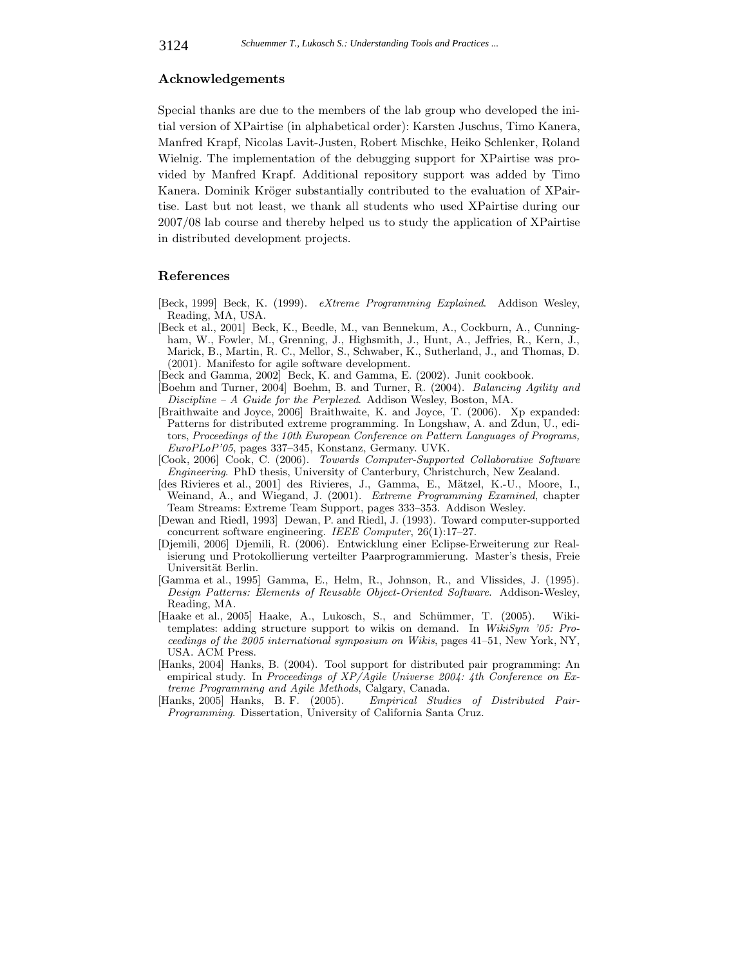### **Acknowledgements**

Special thanks are due to the members of the lab group who developed the initial version of XPairtise (in alphabetical order): Karsten Juschus, Timo Kanera, Manfred Krapf, Nicolas Lavit-Justen, Robert Mischke, Heiko Schlenker, Roland Wielnig. The implementation of the debugging support for XPairtise was provided by Manfred Krapf. Additional repository support was added by Timo Kanera. Dominik Kröger substantially contributed to the evaluation of XPairtise. Last but not least, we thank all students who used XPairtise during our 2007/08 lab course and thereby helped us to study the application of XPairtise in distributed development projects.

### **References**

- [Beck, 1999] Beck, K. (1999). *eXtreme Programming Explained*. Addison Wesley, Reading, MA, USA.
- [Beck et al., 2001] Beck, K., Beedle, M., van Bennekum, A., Cockburn, A., Cunningham, W., Fowler, M., Grenning, J., Highsmith, J., Hunt, A., Jeffries, R., Kern, J., Marick, B., Martin, R. C., Mellor, S., Schwaber, K., Sutherland, J., and Thomas, D. (2001). Manifesto for agile software development.
- [Beck and Gamma, 2002] Beck, K. and Gamma, E. (2002). Junit cookbook.
- [Boehm and Turner, 2004] Boehm, B. and Turner, R. (2004). *Balancing Agility and Discipline – A Guide for the Perplexed*. Addison Wesley, Boston, MA.
- [Braithwaite and Joyce, 2006] Braithwaite, K. and Joyce, T. (2006). Xp expanded: Patterns for distributed extreme programming. In Longshaw, A. and Zdun, U., editors, *Proceedings of the 10th European Conference on Pattern Languages of Programs, EuroPLoP'05*, pages 337–345, Konstanz, Germany. UVK.
- [Cook, 2006] Cook, C. (2006). *Towards Computer-Supported Collaborative Software Engineering*. PhD thesis, University of Canterbury, Christchurch, New Zealand.
- [des Rivieres et al., 2001] des Rivieres, J., Gamma, E., Mätzel, K.-U., Moore, I., Weinand, A., and Wiegand, J. (2001). *Extreme Programming Examined*, chapter Team Streams: Extreme Team Support, pages 333–353. Addison Wesley.
- [Dewan and Riedl, 1993] Dewan, P. and Riedl, J. (1993). Toward computer-supported concurrent software engineering. *IEEE Computer*, 26(1):17–27.
- [Djemili, 2006] Djemili, R. (2006). Entwicklung einer Eclipse-Erweiterung zur Realisierung und Protokollierung verteilter Paarprogrammierung. Master's thesis, Freie Universität Berlin.
- [Gamma et al., 1995] Gamma, E., Helm, R., Johnson, R., and Vlissides, J. (1995). *Design Patterns: Elements of Reusable Object-Oriented Software*. Addison-Wesley, Reading, MA.
- [Haake et al., 2005] Haake, A., Lukosch, S., and Schümmer, T. (2005). Wikitemplates: adding structure support to wikis on demand. In *WikiSym '05: Proceedings of the 2005 international symposium on Wikis*, pages 41–51, New York, NY, USA. ACM Press.
- [Hanks, 2004] Hanks, B. (2004). Tool support for distributed pair programming: An empirical study. In *Proceedings of XP/Agile Universe 2004: 4th Conference on Extreme Programming and Agile Methods*, Calgary, Canada.
- [Hanks, 2005] Hanks, B. F. (2005). *Empirical Studies of Distributed Pair-Programming*. Dissertation, University of California Santa Cruz.